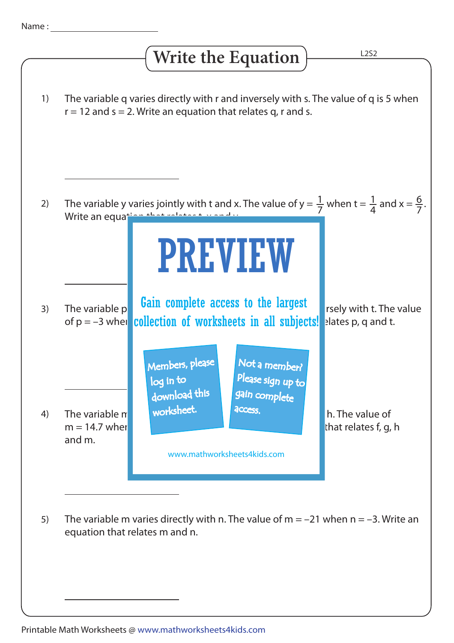## **Write the Equation**

L2S2